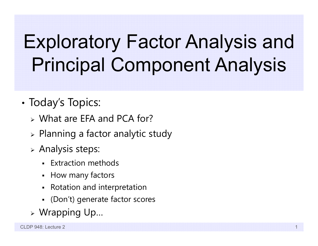# Exploratory Factor Analysis and Principal Component Analysis

- •• Today's Topics:
	- What are EFA and PCA for?
	- $\triangleright$  Planning a factor analytic study
	- $\triangleright$  Analysis steps:
		- Extraction methods
		- How many factors
		- Rotation and interpretation
		- (Don't) generate factor scores
	- Wrapping Up…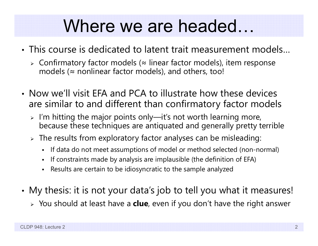#### Where we are headed…

- This course is dedicated to latent trait measurement models…
	- Confirmatory factor models (≈ linear factor models), item response models ( $\approx$  nonlinear factor models), and others, too!
- Now we'll visit EFA and PCA to illustrate how these devices are similar to and different than confirmatory factor models
	- $\triangleright$  I'm hitting the major points only—it's not worth learning more, because these techniques are antiquated and generally pretty terrible
	- $\triangleright$  The results from exploratory factor analyses can be misleading:
		- $\mathbf{r}$ If data do not meet assumptions of model or method selected (non-normal)
		- n If constraints made by analysis are implausible (the definition of EFA)
		- n Results are certain to be idiosyncratic to the sample analyzed
- • My thesis: it is not your data's job to tell you what it measures!
	- You should at least have a **clue**, even if you don't have the right answer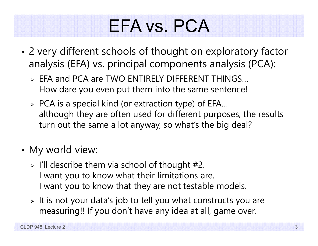#### EFA vs. PCA

- • 2 very different schools of thought on exploratory factor analysis (EFA) vs. principal components analysis (PCA):
	- EFA and PCA are TWO ENTIRELY DIFFERENT THINGS… How dare you even put them into the same sentence!
	- $\triangleright$  PCA is a special kind (or extraction type) of EFA... although they are often used for different purposes, the results turn out the same a lot anyway, so what's the big deal?
- •• My world view:
	- $>$  I'll describe them via school of thought #2. I want you to know what their limitations are. I want you to know that they are not testable models.
	- $\triangleright$  It is not your data's job to tell you what constructs you are measuring!! If you don't have any idea at all, game over.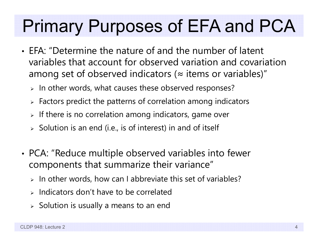### Primary Purposes of EFA and PCA

- EFA: "Determine the nature of and the number of latent variables that account for observed variation and covariation among set of observed indicators ( $\approx$  items or variables)"
	- $\triangleright$  In other words, what causes these observed responses?
	- $\triangleright$  Factors predict the patterns of correlation among indicators
	- $\triangleright$  If there is no correlation among indicators, game over
	- $\triangleright$  Solution is an end (i.e., is of interest) in and of itself
- • PCA: "Reduce multiple observed variables into fewer components that summarize their variance"
	- $\triangleright$  In other words, how can I abbreviate this set of variables?
	- $\triangleright$  Indicators don't have to be correlated
	- $\triangleright$  Solution is usually a means to an end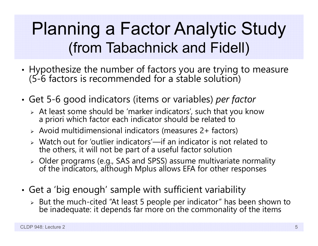#### Planning a Factor Analytic Study (from Tabachnick and Fidell)

- •Hypothesize the number of factors you are trying to measure (5-6 factors is recommended for a stable solution)
- • Get 5-6 good indicators (items or variables) *per factor*
	- At least some should be 'marker indicators', such that you know a priori which factor each indicator should be related to
	- Avoid multidimensional indicators (measures 2+ factors)
	- Watch out for 'outlier indicators'—if an indicator is not related to the others, it will not be part of a useful factor solution
	- Older programs (e.g., SAS and SPSS) assume multivariate normality of the indicators, although Mplus allows EFA for other response s
- • Get a 'big enough' sample with sufficient variability
	- > But the much-cited "At least 5 people per indicator" has been shown to be inadequate: it depends far more on the commonality of the items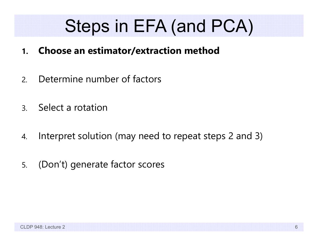#### Steps in EFA (and PCA)

- **1.Choose an estimator/extraction method**
- 2.Determine number of factors
- 3.Select a rotation
- 4.Interpret solution (may need to repeat steps 2 and 3)
- 5.(Don't) generate factor scores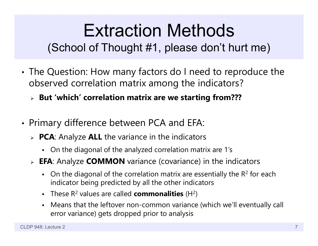#### Extraction Methods (School of Thought #1, please don't hurt me)

- • The Question: How many factors do I need to reproduce the observed correlation matrix among the indicators?
	- **But 'which' correlation matrix are we starting from???**
- • Primary difference between PCA and EFA:
	- **PCA**: Analyze **ALL** the variance in the indicators
		- On the diagonal of the analyzed correlation matrix are 1's
	- **EFA**: Analyze **COMMON** variance (covariance) in the indicators
		- On the diagonal of the correlation matrix are essentially the  $R^2$  for each indicator being predicted by all the other indicators
		- These R 2 values are called **commonalities** (H 2)
		- Means that the leftover non-common variance (which we'll eventually call error variance) gets dropped prior to analysis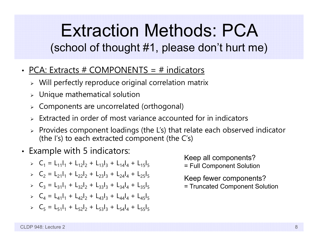#### Extraction Methods: PCA (school of thought #1, please don't hurt me)

- PCA: Extracts # COMPONENTS = # indicators
	- $\triangleright$  Will perfectly reproduce original correlation matrix
	- $\triangleright$  Unique mathematical solution
	- Components are uncorrelated (orthogonal)
	- $\triangleright$  Extracted in order of most variance accounted for in indicators
	- $\triangleright$  Provides component loadings (the L's) that relate each observed indicator (the I's) to each extracted component (the C's)
- • Example with 5 indicators:
	- $\triangleright$   $C_1 = L_{11}I_1 + L_{12}I_2 + L_{13}I_3 + L_{14}I_4 + L_{15}I_5$
	- $\triangleright$   $C_2 = L_{21}I_1 + L_{22}I_2 + L_{23}I_3 + L_{24}I_4 + L_{25}I_5$
	- $\triangleright$   $C_3 = L_{31}I_1 + L_{32}I_2 + L_{33}I_3 + L_{34}I_4 + L_{35}I_5$
	- $\triangleright$   $C_4 = L_{41}I_1 + L_{42}I_2 + L_{43}I_3 + L_{44}I_4 + L_{45}I_5$
	- $\triangleright$   $C_5 = L_{51}I_1 + L_{52}I_2 + L_{53}I_3 + L_{54}I_4 + L_{55}I_5$

Keep all components? = Full Component Solution

- Keep fewer components?
- = Truncated Component Solution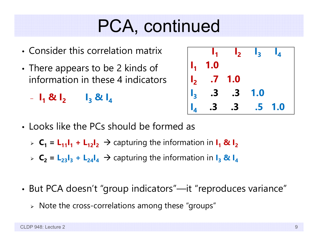#### PCA, continued

- Consider this correlation matrix
- •• There appears to be 2 kinds of information in these 4 indicators

**I1 & I 2 I3 & I 4**

| $\mathbf{I}_{\mathbf{1}}$                                                        | $\mathbf{I}_2$ $\mathbf{I}_3$ |            | $\mathbf{I}_4$ |
|----------------------------------------------------------------------------------|-------------------------------|------------|----------------|
| $\begin{vmatrix} 1_1 & 1.0 \end{vmatrix}$                                        |                               |            |                |
|                                                                                  |                               |            |                |
|                                                                                  |                               | <b>1.0</b> |                |
| $\begin{vmatrix} 1_2 & .7 & 1.0 \\ 1_3 & .3 & .3 \\ 1_4 & .3 & .3 \end{vmatrix}$ | $\mathbf{.3}$                 | .5         | 1.0            |

- Looks like the PCs should be formed as
	- $\triangleright$   $C_1 = L_{11}I_1 + L_{12}I_2 \rightarrow$  capturing the information in  $I_1 \otimes I_2$
	- $\triangleright$   $\mathsf{C_2}$  =  $\mathsf{L_{23}I_3}$  +  $\mathsf{L_{24}I_4}$   $\rightarrow$  capturing the information in  $\mathsf{I_3}$  &  $\mathsf{I_4}$
- • But PCA doesn't "group indicators"—it "reproduces variance"
	- $\triangleright$  Note the cross-correlations among these "groups"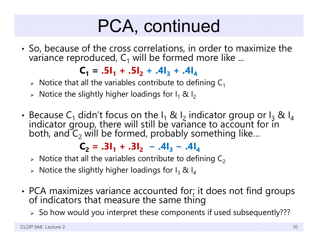# PCA, continued

• So, because of the cross correlations, in order to maximize the variance reproduced,  ${\sf C}_1$  will be formed more like ...

 $C_1 = .5I_1 + .5I_2 + .4I_3 + .4I_4$ 

- $\triangleright$  Notice that all the variables contribute to defining C $_1$
- $\triangleright$  Notice the slightly higher loadings for I $_1$  & I $_2$
- •• Because C<sub>1</sub> didn't focus on the I<sub>1</sub> & I<sub>2</sub> indicator group or I<sub>3</sub> & I<sub>4</sub> indicator group, there will still be variance to account for in<br>both, and C<sub>2</sub> will be formed, probably something like...  $_{\textrm{\tiny{2}}}$  will be formed, probably something like...

 $C_2 = .3I_1 + .3I_2 - .4I_3 - .4I_4$ 

- $\triangleright$  Notice that all the variables contribute to defining C $_2$
- $\triangleright$  Notice the slightly higher loadings for I $_3$  & I $_4$
- •• PCA maximizes variance accounted for; it does not find groups of indicators that measure the same thing
	- $\triangleright$  So how would you interpret these components if used subsequently???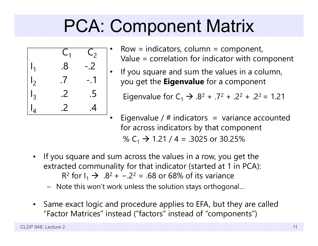# PCA: Component Matrix



- Row  $=$  indicators, column  $=$  component, Value = correlation for indicator with component
- • If you square and sum the values in a column, you get the **Eigenvalue** for a component

Eigenvalue for C<sub>1</sub>  $\rightarrow$  .8<sup>2</sup> + .7<sup>2</sup> + .2<sup>2</sup> + .2<sup>2</sup> = 1.21

- Eigenvalue /  $#$  indicators = variance accounted for across indicators by that component % C<sub>1</sub> → 1.21 / 4 = .3025 or 30.25%
- $\bullet$  If you square and sum across the values in a row, you get the extracted communality for that indicator (started at 1 in PCA): R<sup>2</sup> for I<sub>1</sub> → .8<sup>2</sup> + -.2<sup>2</sup> = .68 or 68% of its variance

•

- Note this won't work unless the solution stays orthogonal…
- • Same exact logic and procedure applies to EFA, but they are called "Factor Matrices" instead ("factors" instead of "components")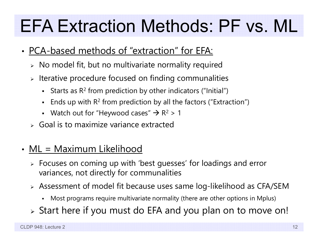### EFA Extraction Methods: PF vs. ML

- PCA-based methods of "extraction" for EFA:
	- $\triangleright\;$  No model fit, but no multivariate normality required
	- $\triangleright$  Iterative procedure focused on finding communalities
		- $\blacksquare$ **Starts as R<sup>2</sup> from prediction by other indicators ("Initial")**
		- **Ends up with R<sup>2</sup> from prediction by all the factors ("Extraction")**
		- Watch out for "Heywood cases"  $\rightarrow$  R<sup>2</sup> > 1
	- $\triangleright$  Goal is to maximize variance extracted
- ML = Maximum Likelihood
	- Focuses on coming up with 'best guesses' for loadings and error variances, not directly for communalities
	- Assessment of model fit because uses same log-likelihood as CFA/SEM
		- Most programs require multivariate normality (there are other options in Mplus)
	- Start here if you must do EFA and you plan on to move on!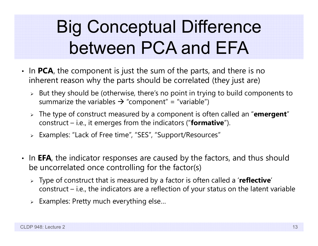### Big Conceptual Difference between PCA and EFA

- In **PCA**, the component is just the sum of the parts, and there is no inherent reason why the parts should be correlated (they just are)
	- $\triangleright$  But they should be (otherwise, there's no point in trying to build components to summarize the variables  $\bm{\rightarrow}$  "component" = "variable")
	- The type of construct measured by a component is often called an "**emergent**" construct – i.e., it emerges from the indicators ("**formative**").
	- Examples: "Lack of Free time", "SES", "Support/Resources"
- In **EFA**, the indicator responses are caused by the factors, and thus should be uncorrelated once controlling for the factor(s)
	- Type of construct that is measured by a factor is often called a '**reflective**' construct – i.e., the indicators are a reflection of your status on the latent variable
	- $\triangleright$  Examples: Pretty much everything else...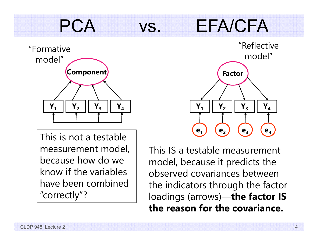#### PCA vs. EFA/CFA



This is not a testable measurement model, because how do we know if the variables have been combined "correctly"?



This IS a testable measurement model, because it predicts the observed covariances between the indicators through the factor loadings (arrows)—**the factor IS the reason for the covariance.**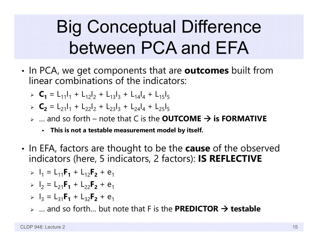## Big Conceptual Difference between PCA and EFA

- •• In PCA, we get components that are **outcomes** built from linear combinations of the indicators:
	- $\triangleright$  **C<sub>1</sub>** = L<sub>11</sub>|<sub>1</sub> + L<sub>12</sub>|<sub>2</sub> + L<sub>13</sub>|<sub>3</sub> + L<sub>14</sub>|<sub>4</sub> + L<sub>15</sub>|<sub>5</sub>
	- $\triangleright$  **C<sub>2</sub>** = L<sub>21</sub>I<sub>1</sub> + L<sub>22</sub>I<sub>2</sub> + L<sub>23</sub>I<sub>3</sub> + L<sub>24</sub>I<sub>4</sub> + L<sub>25</sub>I<sub>5</sub>
	- … and so forth note that C is the **OUTCOME is FORMATIVE**
		- **This is not a testable measurement model by itself.**
- •• In EFA, factors are thought to be the **cause** of the observed indicators (here, 5 indicators, 2 factors): **IS REFLECTIVE**

> 
$$
I_1 = L_{11}F_1 + L_{12}F_2 + e_1
$$

- $\triangleright$   $I_2 = L_{21}F_1 + L_{22}F_2 + e_1$
- $\triangleright$   $I_3 = L_{31}F_1 + L_{32}F_2 + e_1$
- … and so forth… but note that F is the **PREDICTOR testable**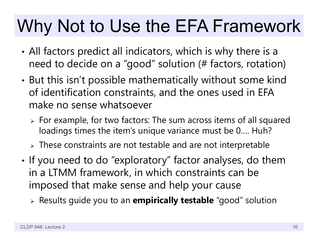#### Why Not to Use the EFA Framework

- • All factors predict all indicators, which is why there is a need to decide on a "good" solution (# factors, rotation)
- • But this isn't possible mathematically without some kind of identification constraints, and the ones used in EFA make no sense whatsoever
	- For example, for two factors: The sum across items of all squared loadings times the item's unique variance must be 0…. Huh?
	- $\triangleright$  These constraints are not testable and are not interpretable
- •• If you need to do "exploratory" factor analyses, do them in a LTMM framework, in which constraints can be imposed that make sense and help your cause
	- Results guide you to an **empirically testable** "good" solution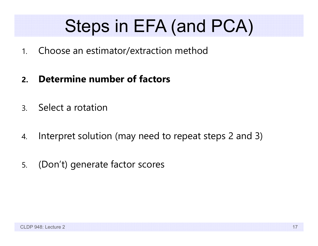### Steps in EFA (and PCA)

- 1.Choose an estimator/extraction method
- **2.Determine number of factors**
- 3.Select a rotation
- 4.Interpret solution (may need to repeat steps 2 and 3)
- 5.(Don't) generate factor scores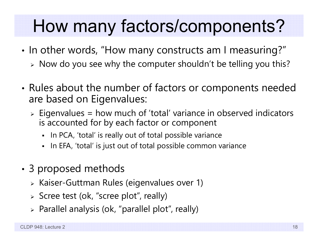#### How many factors/components?

- •• In other words, "How many constructs am I measuring?"
	- $\triangleright$  Now do you see why the computer shouldn't be telling you this?
- • Rules about the number of factors or components needed are based on Eigenvalues:
	- Eigenvalues = how much of 'total' variance in observed indicators is accounted for by each factor or component
		- $\blacksquare$ In PCA, 'total' is really out of total possible variance
		- In EFA, 'total' is just out of total possible common variance
- • 3 proposed methods
	- Kaiser-Guttman Rules (eigenvalues over 1)
	- Scree test (ok, "scree plot", really)
	- $\triangleright$  Parallel analysis (ok, "parallel plot", really)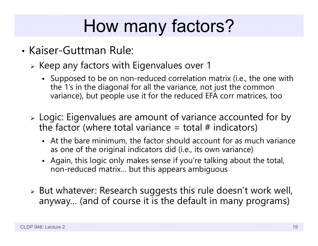# How many factors?

- Kaiser-Guttman Rule:
	- $\triangleright$  Keep any factors with Eigenvalues over 1
		- Supposed to be on non-reduced correlation matrix (i.e., the one with the 1's in the diagonal for all the variance, not just the common variance), but people use it for the reduced EFA corr matrices, too
	- Logic: Eigenvalues are amount of variance accounted for by the factor (where total variance  $=$  total  $#$  indicators)
		- At the bare minimum, the factor should account for as much variance as one of the original indicators did (i.e., its own variance)
		- Again, this logic only makes sense if you're talking about the total, non-reduced matrix… but this appears ambiguous
	- $\triangleright$  But whatever: Research suggests this rule doesn't work well, anyway… (and of course it is the default in many programs)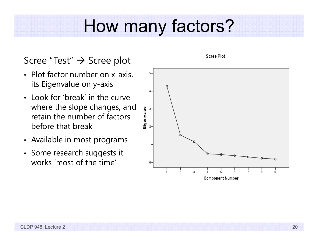#### How many factors?

#### Scree "Test" → Scree plot

- Plot factor number on x-axis, its Eigenvalue on y-axis
- Look for 'break' in the curve where the slope changes, and retain the number of factors before that break
- Available in most programs
- Some research suggests it works 'most of the time'



**Scree Plot**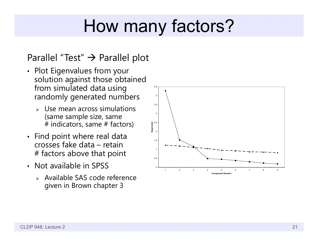#### How many factors?

#### Parallel "Test"  $\bm{\rightarrow}$  Parallel plot

- Plot Eigenvalues from your solution against those obtained from simulated data using randomly generated numbers
	- ➤ Use mean across simulations (same sample size, same # indicators, same # factors)
- Find point where real data crosses fake data – retain # factors above that point
- Not available in SPSS
	- Available SAS code reference given in Brown chapter 3

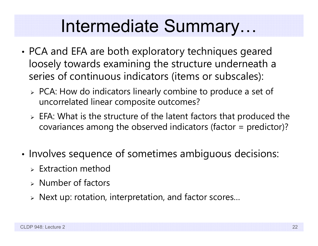#### Intermediate Summary…

- • PCA and EFA are both exploratory techniques geared loosely towards examining the structure underneath a series of continuous indicators (items or subscales):
	- PCA: How do indicators linearly combine to produce a set of uncorrelated linear composite outcomes?
	- $\triangleright$  EFA: What is the structure of the latent factors that produced the covariances among the observed indicators (factor = predictor)?
- •• Involves sequence of sometimes ambiguous decisions:
	- $\triangleright$  Extraction method
	- $\triangleright$  Number of factors
	- Next up: rotation, interpretation, and factor scores…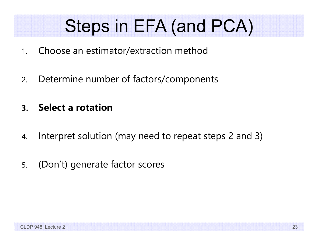### Steps in EFA (and PCA)

- 1.Choose an estimator/extraction method
- 2.Determine number of factors/components
- **3.Select a rotation**
- 4.Interpret solution (may need to repeat steps 2 and 3)
- 5.(Don't) generate factor scores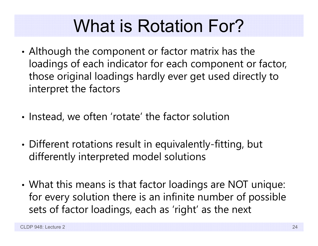#### What is Rotation For?

- • Although the component or factor matrix has the loadings of each indicator for each component or factor, those original loadings hardly ever get used directly to interpret the factors
- •• Instead, we often 'rotate' the factor solution
- • Different rotations result in equivalently-fitting, but differently interpreted model solutions
- • What this means is that factor loadings are NOT unique: for every solution there is an infinite number of possible sets of factor loadings, each as 'right' as the next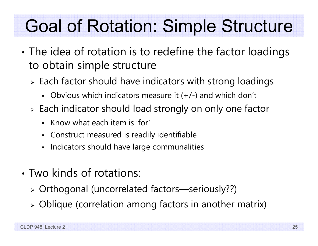## Goal of Rotation: Simple Structure

- • The idea of rotation is to redefine the factor loadings to obtain simple structure
	- $\triangleright$  Each factor should have indicators with strong loadings
		- Obvious which indicators measure it (+/-) and which don't
	- Each indicator should load strongly on only one factor
		- Know what each item is 'for'
		- Construct measured is readily identifiable
		- Indicators should have large communalities
- Two kinds of rotations:
	- Orthogonal (uncorrelated factors—seriously??)
	- Oblique (correlation among factors in another matrix)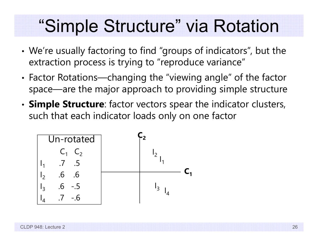#### "Simple Structure" via Rotation

- • We're usually factoring to find "groups of indicators", but the extraction process is trying to "reproduce variance"
- • Factor Rotations—changing the "viewing angle" of the factor space—are the major approach to providing simple structure
- • **Simple Structure**: factor vectors spear the indicator clusters, such that each indicator loads only on one factor

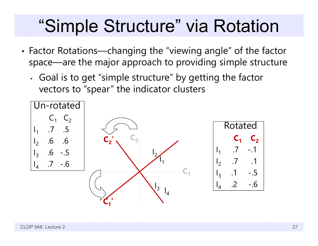#### "Simple Structure" via Rotation

- • Factor Rotations—changing the "viewing angle" of the factor space—are the major approach to providing simple structure
	- • Goal is to get "simple structure" by getting the factor vectors to "spear" the indicator clusters

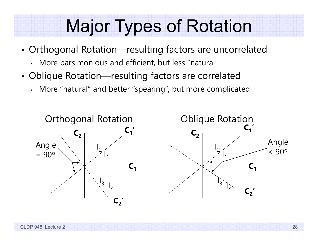#### Major Types of Rotation

- • Orthogonal Rotation—resulting factors are uncorrelated
	- More parsimonious and efficient, but less "natural"
- • Oblique Rotation—resulting factors are correlated
	- More "natural" and better "spearing", but more complicated

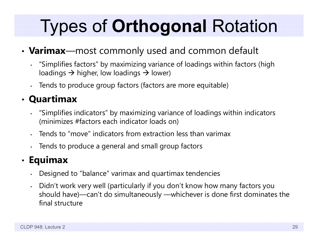# Types of **Orthogonal** Rotation

#### •**Varimax**—most commonly used and common default

- "Simplifies factors" by maximizing variance of loadings within factors (high loadings  $\rightarrow$  higher, low loadings  $\rightarrow$  lower)
- Tends to produce group factors (factors are more equitable)

#### • **Quartimax**

- "Simplifies indicators" by maximizing variance of loadings within indicators (minimizes #factors each indicator loads on)
- Tends to "move" indicators from extraction less than varimax
- •Tends to produce a general and small group factors

#### •**Equimax**

- Designed to "balance" varimax and quartimax tendencies
- • Didn't work very well (particularly if you don't know how many factors you should have)—can't do simultaneously —whichever is done first dominates the final structure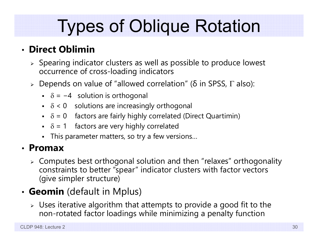### Types of Oblique Rotation

#### • **Direct Oblimin**

- $\triangleright$  Spearing indicator clusters as well as possible to produce lowest occurrence of cross-loading indicators
- $\triangleright$  Depends on value of "allowed correlation" (δ in SPSS, Γ also):
	- $\bullet$  −  $\delta$  =  $-4$  solution is orthogonal
	- $\bullet$   $\delta$  < 0 solutions are increasingly orthogonal
	- $\delta$  = 0 factors are fairly highly correlated (Direct Quartimin)
	- $\bullet$   $\delta$  = 1 factors are very highly correlated
	- This parameter matters, so try a few versions…

#### • **Promax**

 $\triangleright$  Computes best orthogonal solution and then "relaxes" orthogonality constraints to better "spear" indicator clusters with factor vectors (give simpler structure)

#### • **Geomin** (default in Mplus)

 $\triangleright$  Uses iterative algorithm that attempts to provide a good fit to the non-rotated factor loadings while minimizing a penalty function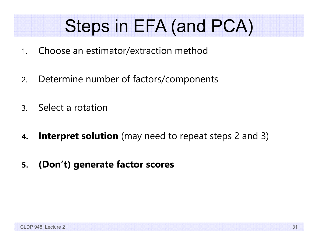#### Steps in EFA (and PCA)

- 1.Choose an estimator/extraction method
- 2.Determine number of factors/components
- 3.Select a rotation
- **4.Interpret solution** (may need to repeat steps 2 and 3)
- **5.(Don't) generate factor scores**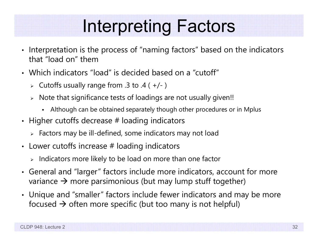#### Interpreting Factors

- Interpretation is the process of "naming factors" based on the indicators that "load on" them
- Which indicators "load" is decided based on a "cutoff"
	- Cutoffs usually range from .3 to .4 ( +/- )
	- $\triangleright$   $\,$  Note that significance tests of loadings are not usually given!!
		- Although can be obtained separately though other procedures or in Mplus
- Higher cutoffs decrease  $\#$  loading indicators
	- $\triangleright$  Factors may be ill-defined, some indicators may not load
- Lower cutoffs increase  $\#$  loading indicators
	- $\triangleright$  Indicators more likely to be load on more than one factor
- General and "larger" factors include more indicators, account for more variance  $\bm{\rightarrow}$  more parsimonious (but may lump stuff together)
- Unique and "smaller" factors include fewer indicators and may be more focused  $\bm{\rightarrow}$  often more specific (but too many is not helpful)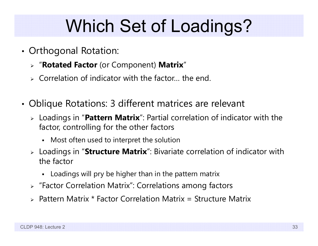# Which Set of Loadings?

- • Orthogonal Rotation:
	- "**Rotated Factor** (or Component) **Matrix** "
	- $\triangleright$  Correlation of indicator with the factor... the end.
- • Oblique Rotations: 3 different matrices are relevant
	- Loadings in "**Pattern Matrix**": Partial correlation of indicator with the factor, controlling for the other factors
		- Most often used to interpret the solution
	- Loadings in "**Structure Matrix**": Bivariate correlation of indicator with the factor
		- Loadings will pry be higher than in the pattern matrix
	- "Factor Correlation Matrix": Correlations among factors
	- Pattern Matrix \* Factor Correlation Matrix = Structure Matrix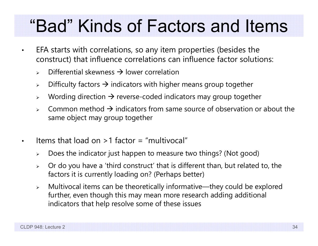#### "Bad" Kinds of Factors and Items

- EFA starts with correlations, so any item properties (besides the construct) that influence correlations can influence factor solutions:
	- $\blacktriangleright$  $\triangleright$  Differential skewness  $\rightarrow$  lower correlation
	- $\blacktriangleright$  $\triangleright\;$  Difficulty factors  $\bm{\rightarrow}$  indicators with higher means group together
	- $\blacktriangleright$  $\triangleright$  Wording direction  $\rightarrow$  reverse-coded indicators may group together
	- $\blacktriangleright$  $\triangleright$  Common method  $\rightarrow$  indicators from same source of observation or about the same object may group together
- •Items that load on  $>1$  factor = "multivocal"
	- $\blacktriangleright$ Does the indicator just happen to measure two things? (Not good)
	- $\blacktriangleright$  Or do you have a 'third construct' that is different than, but related to, the factors it is currently loading on? (Perhaps better)
	- $\blacktriangleright$  Multivocal items can be theoretically informative—they could be explored further, even though this may mean more research adding additional indicators that help resolve some of these issues

•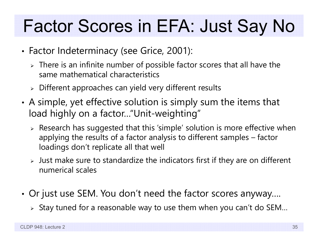# Factor Scores in EFA: Just Say No

- • Factor Indeterminacy (see Grice, 2001):
	- $\triangleright$  There is an infinite number of possible factor scores that all have the same mathematical characteristics
	- $\triangleright$  Different approaches can yield very different results
- • A simple, yet effective solution is simply sum the items that load highly on a factor…"Unit-weighting"
	- $\triangleright$  Research has suggested that this 'simple' solution is more effective when applying the results of a factor analysis to different samples – factor loadings don't replicate all that well
	- $\triangleright$  Just make sure to standardize the indicators first if they are on different numerical scales
- • Or just use SEM. You don't need the factor scores anyway….
	- $\triangleright$  Stay tuned for a reasonable way to use them when you can't do SEM...